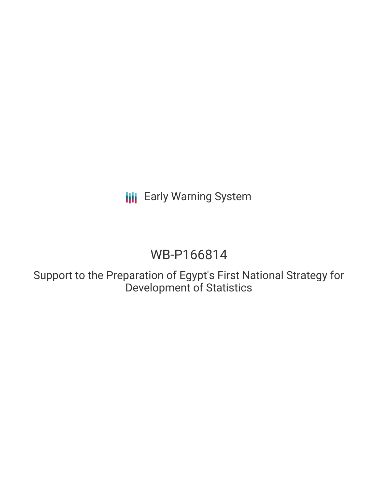**III** Early Warning System

# WB-P166814

Support to the Preparation of Egypt's First National Strategy for Development of Statistics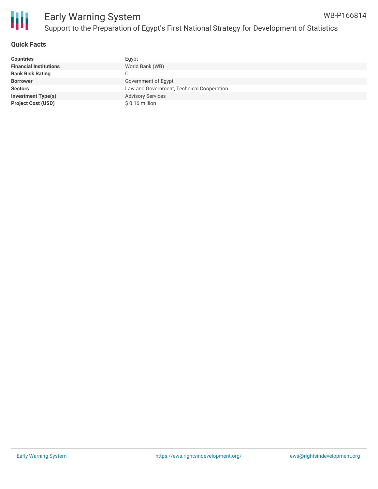

#### **Quick Facts**

| <b>Countries</b>              | Egypt                                     |
|-------------------------------|-------------------------------------------|
| <b>Financial Institutions</b> | World Bank (WB)                           |
| <b>Bank Risk Rating</b>       | C                                         |
| <b>Borrower</b>               | Government of Egypt                       |
| <b>Sectors</b>                | Law and Government, Technical Cooperation |
| <b>Investment Type(s)</b>     | <b>Advisory Services</b>                  |
| <b>Project Cost (USD)</b>     | $$0.16$ million                           |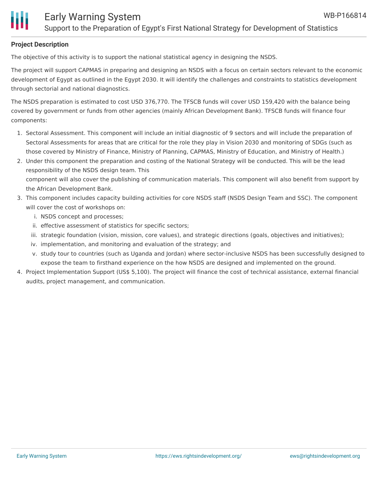## **Project Description**

The objective of this activity is to support the national statistical agency in designing the NSDS.

The project will support CAPMAS in preparing and designing an NSDS with a focus on certain sectors relevant to the economic development of Egypt as outlined in the Egypt 2030. It will identify the challenges and constraints to statistics development through sectorial and national diagnostics.

The NSDS preparation is estimated to cost USD 376,770. The TFSCB funds will cover USD 159,420 with the balance being covered by government or funds from other agencies (mainly African Development Bank). TFSCB funds will finance four components:

- 1. Sectoral Assessment. This component will include an initial diagnostic of 9 sectors and will include the preparation of Sectoral Assessments for areas that are critical for the role they play in Vision 2030 and monitoring of SDGs (such as those covered by Ministry of Finance, Ministry of Planning, CAPMAS, Ministry of Education, and Ministry of Health.)
- 2. Under this component the preparation and costing of the National Strategy will be conducted. This will be the lead responsibility of the NSDS design team. This component will also cover the publishing of communication materials. This component will also benefit from support by the African Development Bank.
- 3. This component includes capacity building activities for core NSDS staff (NSDS Design Team and SSC). The component will cover the cost of workshops on:
	- i. NSDS concept and processes;
	- ii. effective assessment of statistics for specific sectors;
	- iii. strategic foundation (vision, mission, core values), and strategic directions (goals, objectives and initiatives);
	- iv. implementation, and monitoring and evaluation of the strategy; and
	- v. study tour to countries (such as Uganda and Jordan) where sector-inclusive NSDS has been successfully designed to expose the team to firsthand experience on the how NSDS are designed and implemented on the ground.
- 4. Project Implementation Support (US\$ 5,100). The project will finance the cost of technical assistance, external financial audits, project management, and communication.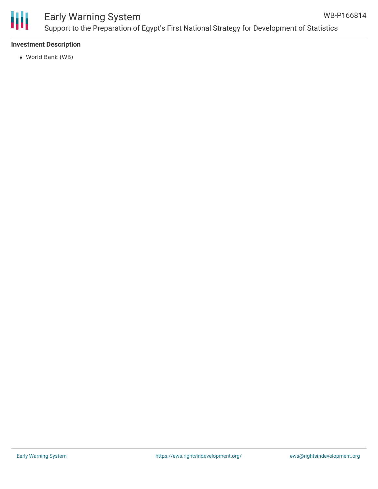

#### Early Warning System Support to the Preparation of Egypt's First National Strategy for Development of Statistics WB-P166814

### **Investment Description**

World Bank (WB)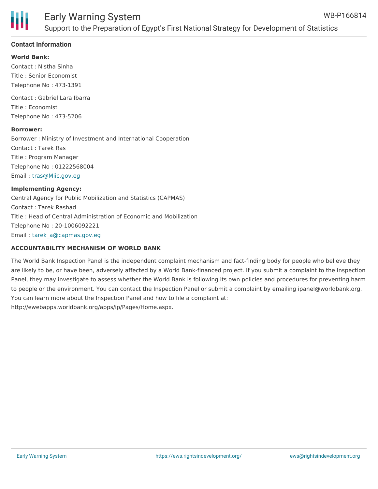

#### **Contact Information**

#### **World Bank:**

Contact : Nistha Sinha Title : Senior Economist Telephone No : 473-1391

Contact : Gabriel Lara Ibarra Title : Economist Telephone No : 473-5206

#### **Borrower:**

Borrower : Ministry of Investment and International Cooperation Contact : Tarek Ras Title : Program Manager Telephone No : 01222568004 Email : [tras@Miic.gov.eg](mailto:tras@Miic.gov.eg)

#### **Implementing Agency:**

Central Agency for Public Mobilization and Statistics (CAPMAS) Contact : Tarek Rashad Title : Head of Central Administration of Economic and Mobilization Telephone No : 20-1006092221 Email : [tarek\\_a@capmas.gov.eg](mailto:tarek_a@capmas.gov.eg)

#### **ACCOUNTABILITY MECHANISM OF WORLD BANK**

The World Bank Inspection Panel is the independent complaint mechanism and fact-finding body for people who believe they are likely to be, or have been, adversely affected by a World Bank-financed project. If you submit a complaint to the Inspection Panel, they may investigate to assess whether the World Bank is following its own policies and procedures for preventing harm to people or the environment. You can contact the Inspection Panel or submit a complaint by emailing ipanel@worldbank.org. You can learn more about the Inspection Panel and how to file a complaint at: http://ewebapps.worldbank.org/apps/ip/Pages/Home.aspx.